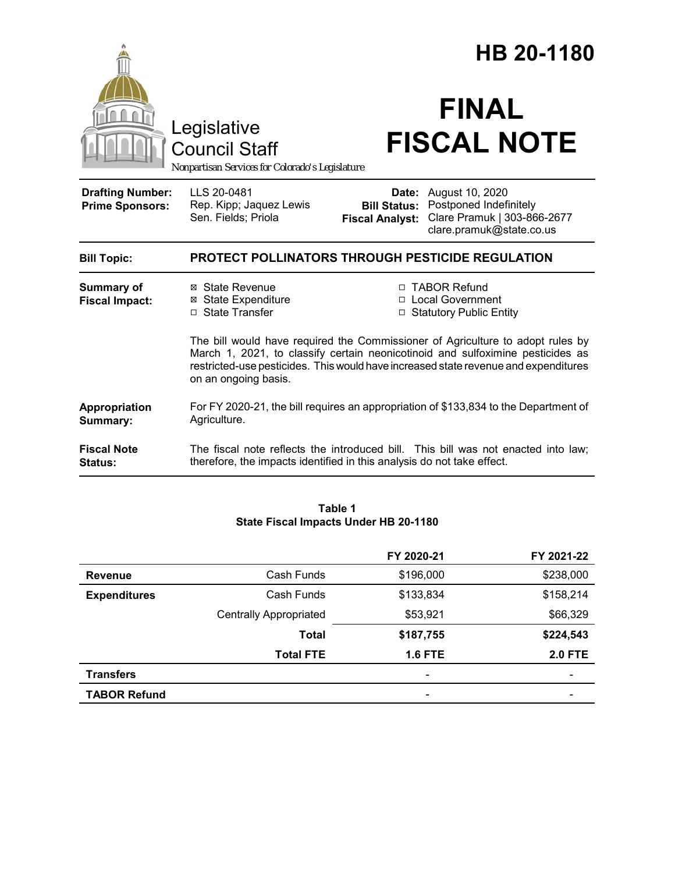|                                                   |                                                                                                                                                                                                                                                                                 | HB 20-1180                                             |                                                                                                      |  |
|---------------------------------------------------|---------------------------------------------------------------------------------------------------------------------------------------------------------------------------------------------------------------------------------------------------------------------------------|--------------------------------------------------------|------------------------------------------------------------------------------------------------------|--|
|                                                   | Legislative<br><b>Council Staff</b><br>Nonpartisan Services for Colorado's Legislature                                                                                                                                                                                          |                                                        | <b>FINAL</b><br><b>FISCAL NOTE</b>                                                                   |  |
| <b>Drafting Number:</b><br><b>Prime Sponsors:</b> | LLS 20-0481<br>Rep. Kipp; Jaquez Lewis<br>Sen. Fields; Priola                                                                                                                                                                                                                   | Date:<br><b>Bill Status:</b><br><b>Fiscal Analyst:</b> | August 10, 2020<br>Postponed Indefinitely<br>Clare Pramuk   303-866-2677<br>clare.pramuk@state.co.us |  |
| <b>Bill Topic:</b>                                | <b>PROTECT POLLINATORS THROUGH PESTICIDE REGULATION</b>                                                                                                                                                                                                                         |                                                        |                                                                                                      |  |
| <b>Summary of</b><br><b>Fiscal Impact:</b>        | ⊠ State Revenue<br><b>⊠ State Expenditure</b><br>□ State Transfer                                                                                                                                                                                                               |                                                        | □ TABOR Refund<br>□ Local Government<br>□ Statutory Public Entity                                    |  |
|                                                   | The bill would have required the Commissioner of Agriculture to adopt rules by<br>March 1, 2021, to classify certain neonicotinoid and sulfoximine pesticides as<br>restricted-use pesticides. This would have increased state revenue and expenditures<br>on an ongoing basis. |                                                        |                                                                                                      |  |
| Appropriation<br>Summary:                         | Agriculture.                                                                                                                                                                                                                                                                    |                                                        | For FY 2020-21, the bill requires an appropriation of \$133,834 to the Department of                 |  |
| <b>Fiscal Note</b><br><b>Status:</b>              | therefore, the impacts identified in this analysis do not take effect.                                                                                                                                                                                                          |                                                        | The fiscal note reflects the introduced bill. This bill was not enacted into law;                    |  |

#### **Table 1 State Fiscal Impacts Under HB 20-1180**

|                     |                               | FY 2020-21               | FY 2021-22     |
|---------------------|-------------------------------|--------------------------|----------------|
| Revenue             | Cash Funds                    | \$196,000                | \$238,000      |
| <b>Expenditures</b> | Cash Funds                    | \$133,834                | \$158,214      |
|                     | <b>Centrally Appropriated</b> | \$53,921                 | \$66,329       |
|                     | Total                         | \$187,755                | \$224,543      |
|                     | <b>Total FTE</b>              | <b>1.6 FTE</b>           | <b>2.0 FTE</b> |
| <b>Transfers</b>    |                               | $\overline{\phantom{a}}$ |                |
| <b>TABOR Refund</b> |                               | $\overline{\phantom{a}}$ |                |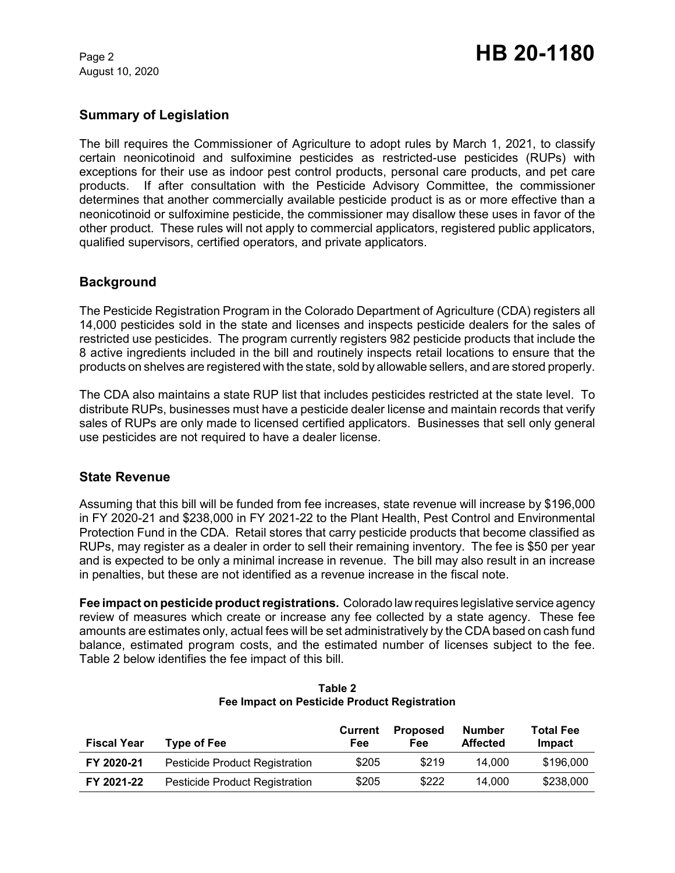August 10, 2020

### **Summary of Legislation**

The bill requires the Commissioner of Agriculture to adopt rules by March 1, 2021, to classify certain neonicotinoid and sulfoximine pesticides as restricted-use pesticides (RUPs) with exceptions for their use as indoor pest control products, personal care products, and pet care products. If after consultation with the Pesticide Advisory Committee, the commissioner determines that another commercially available pesticide product is as or more effective than a neonicotinoid or sulfoximine pesticide, the commissioner may disallow these uses in favor of the other product. These rules will not apply to commercial applicators, registered public applicators, qualified supervisors, certified operators, and private applicators.

#### **Background**

The Pesticide Registration Program in the Colorado Department of Agriculture (CDA) registers all 14,000 pesticides sold in the state and licenses and inspects pesticide dealers for the sales of restricted use pesticides. The program currently registers 982 pesticide products that include the 8 active ingredients included in the bill and routinely inspects retail locations to ensure that the products on shelves are registered with the state, sold by allowable sellers, and are stored properly.

The CDA also maintains a state RUP list that includes pesticides restricted at the state level. To distribute RUPs, businesses must have a pesticide dealer license and maintain records that verify sales of RUPs are only made to licensed certified applicators. Businesses that sell only general use pesticides are not required to have a dealer license.

#### **State Revenue**

Assuming that this bill will be funded from fee increases, state revenue will increase by \$196,000 in FY 2020-21 and \$238,000 in FY 2021-22 to the Plant Health, Pest Control and Environmental Protection Fund in the CDA. Retail stores that carry pesticide products that become classified as RUPs, may register as a dealer in order to sell their remaining inventory. The fee is \$50 per year and is expected to be only a minimal increase in revenue. The bill may also result in an increase in penalties, but these are not identified as a revenue increase in the fiscal note.

**Fee impact on pesticide product registrations.** Colorado law requires legislative service agency review of measures which create or increase any fee collected by a state agency. These fee amounts are estimates only, actual fees will be set administratively by the CDA based on cash fund balance, estimated program costs, and the estimated number of licenses subject to the fee. Table 2 below identifies the fee impact of this bill.

| <b>Fiscal Year</b> | Type of Fee                           | Current<br>Fee | <b>Proposed</b><br>Fee | <b>Number</b><br><b>Affected</b> | <b>Total Fee</b><br>Impact |
|--------------------|---------------------------------------|----------------|------------------------|----------------------------------|----------------------------|
| FY 2020-21         | <b>Pesticide Product Registration</b> | \$205          | \$219                  | 14.000                           | \$196,000                  |
| FY 2021-22         | Pesticide Product Registration        | \$205          | \$222                  | 14.000                           | \$238,000                  |

**Table 2 Fee Impact on Pesticide Product Registration**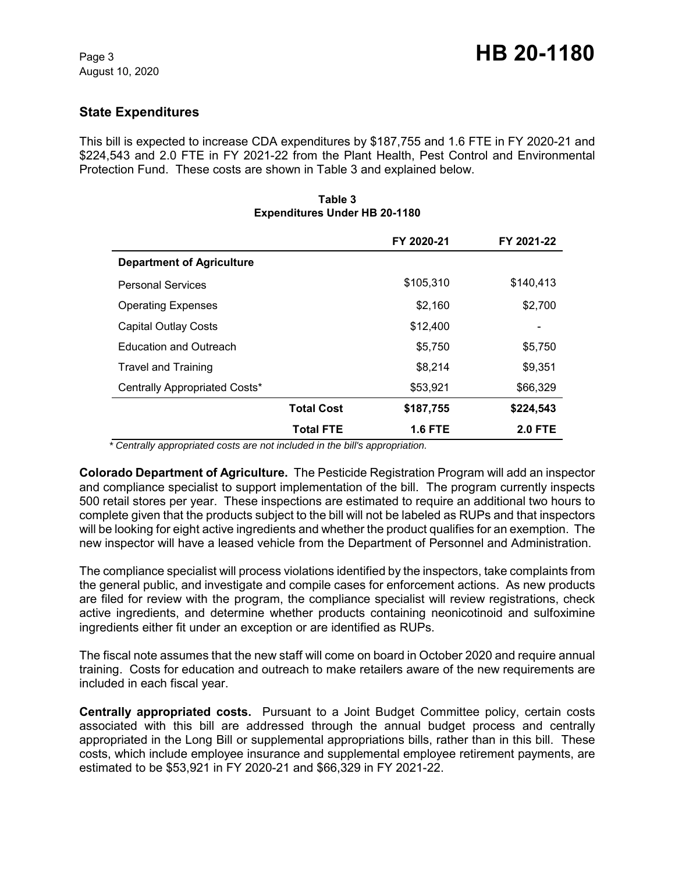## **State Expenditures**

This bill is expected to increase CDA expenditures by \$187,755 and 1.6 FTE in FY 2020-21 and \$224,543 and 2.0 FTE in FY 2021-22 from the Plant Health, Pest Control and Environmental Protection Fund. These costs are shown in Table 3 and explained below.

|                                  |                   | FY 2020-21     | FY 2021-22     |
|----------------------------------|-------------------|----------------|----------------|
| <b>Department of Agriculture</b> |                   |                |                |
| <b>Personal Services</b>         |                   | \$105,310      | \$140,413      |
| <b>Operating Expenses</b>        |                   | \$2,160        | \$2,700        |
| <b>Capital Outlay Costs</b>      |                   | \$12,400       |                |
| <b>Education and Outreach</b>    |                   | \$5.750        | \$5,750        |
| <b>Travel and Training</b>       |                   | \$8.214        | \$9,351        |
| Centrally Appropriated Costs*    |                   | \$53,921       | \$66,329       |
|                                  | <b>Total Cost</b> | \$187,755      | \$224,543      |
|                                  | <b>Total FTE</b>  | <b>1.6 FTE</b> | <b>2.0 FTE</b> |

#### **Table 3 Expenditures Under HB 20-1180**

 *\* Centrally appropriated costs are not included in the bill's appropriation.*

**Colorado Department of Agriculture.** The Pesticide Registration Program will add an inspector and compliance specialist to support implementation of the bill. The program currently inspects 500 retail stores per year. These inspections are estimated to require an additional two hours to complete given that the products subject to the bill will not be labeled as RUPs and that inspectors will be looking for eight active ingredients and whether the product qualifies for an exemption. The new inspector will have a leased vehicle from the Department of Personnel and Administration.

The compliance specialist will process violations identified by the inspectors, take complaints from the general public, and investigate and compile cases for enforcement actions. As new products are filed for review with the program, the compliance specialist will review registrations, check active ingredients, and determine whether products containing neonicotinoid and sulfoximine ingredients either fit under an exception or are identified as RUPs.

The fiscal note assumes that the new staff will come on board in October 2020 and require annual training. Costs for education and outreach to make retailers aware of the new requirements are included in each fiscal year.

**Centrally appropriated costs.** Pursuant to a Joint Budget Committee policy, certain costs associated with this bill are addressed through the annual budget process and centrally appropriated in the Long Bill or supplemental appropriations bills, rather than in this bill. These costs, which include employee insurance and supplemental employee retirement payments, are estimated to be \$53,921 in FY 2020-21 and \$66,329 in FY 2021-22.